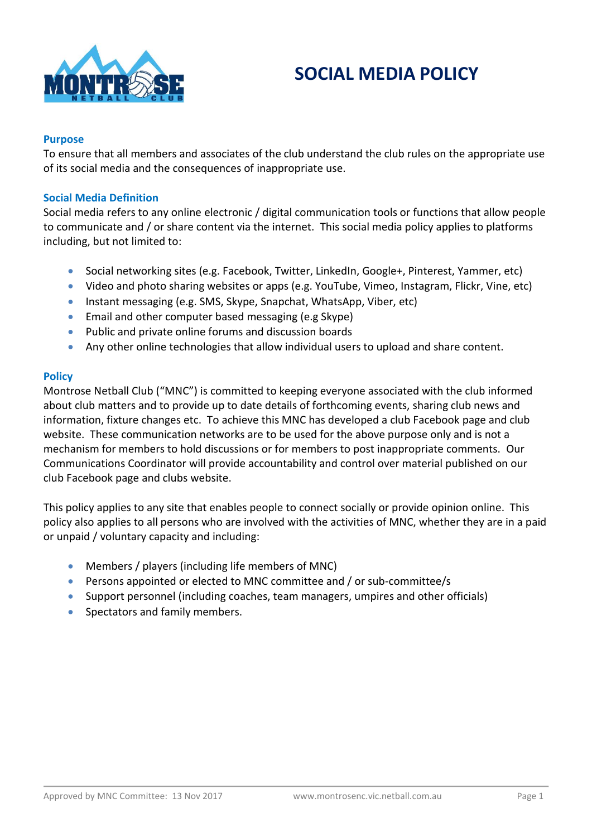

# **SOCIAL MEDIA POLICY**

# **Purpose**

To ensure that all members and associates of the club understand the club rules on the appropriate use of its social media and the consequences of inappropriate use.

# **Social Media Definition**

Social media refers to any online electronic / digital communication tools or functions that allow people to communicate and / or share content via the internet. This social media policy applies to platforms including, but not limited to:

- Social networking sites (e.g. Facebook, Twitter, LinkedIn, Google+, Pinterest, Yammer, etc)
- Video and photo sharing websites or apps (e.g. YouTube, Vimeo, Instagram, Flickr, Vine, etc)
- Instant messaging (e.g. SMS, Skype, Snapchat, WhatsApp, Viber, etc)
- Email and other computer based messaging (e.g Skype)
- Public and private online forums and discussion boards
- Any other online technologies that allow individual users to upload and share content.

# **Policy**

Montrose Netball Club ("MNC") is committed to keeping everyone associated with the club informed about club matters and to provide up to date details of forthcoming events, sharing club news and information, fixture changes etc. To achieve this MNC has developed a club Facebook page and club website. These communication networks are to be used for the above purpose only and is not a mechanism for members to hold discussions or for members to post inappropriate comments. Our Communications Coordinator will provide accountability and control over material published on our club Facebook page and clubs website.

This policy applies to any site that enables people to connect socially or provide opinion online. This policy also applies to all persons who are involved with the activities of MNC, whether they are in a paid or unpaid / voluntary capacity and including:

- Members / players (including life members of MNC)
- Persons appointed or elected to MNC committee and / or sub-committee/s
- Support personnel (including coaches, team managers, umpires and other officials)
- Spectators and family members.